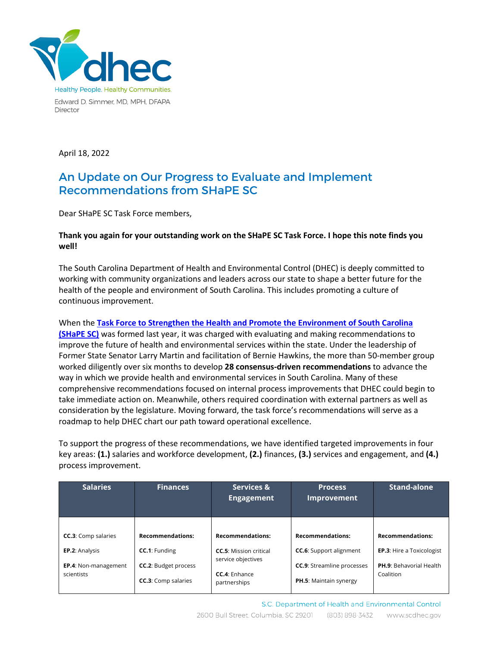

Edward D. Simmer, MD, MPH, DFAPA Director

April 18, 2022

## An Update on Our Progress to Evaluate and Implement Recommendations from SHaPE SC

Dear SHaPE SC Task Force members,

## **Thank you again for your outstanding work on the SHaPE SC Task Force. I hope this note finds you well!**

The South Carolina Department of Health and Environmental Control (DHEC) is deeply committed to working with community organizations and leaders across our state to shape a better future for the health of the people and environment of South Carolina. This includes promoting a culture of continuous improvement.

When the **[Task Force to Strengthen the Health and Promote the Environment of South Carolina](https://shapesouthcarolina.gov/)  [\(SHaPE SC\)](https://shapesouthcarolina.gov/)** was formed last year, it was charged with evaluating and making recommendations to improve the future of health and environmental services within the state. Under the leadership of Former State Senator Larry Martin and facilitation of Bernie Hawkins, the more than 50-member group worked diligently over six months to develop **28 consensus-driven recommendations** to advance the way in which we provide health and environmental services in South Carolina. Many of these comprehensive recommendations focused on internal process improvements that DHEC could begin to take immediate action on. Meanwhile, others required coordination with external partners as well as consideration by the legislature. Moving forward, the task force's recommendations will serve as a roadmap to help DHEC chart our path toward operational excellence.

To support the progress of these recommendations, we have identified targeted improvements in four key areas: **(1.)** salaries and workforce development, **(2.)** finances, **(3.)** services and engagement, and **(4.)** process improvement.

| <b>Salaries</b>             | <b>Finances</b>             | Services &<br><b>Engagement</b>                     | <b>Process</b><br><b>Improvement</b> | <b>Stand-alone</b>               |
|-----------------------------|-----------------------------|-----------------------------------------------------|--------------------------------------|----------------------------------|
|                             |                             |                                                     |                                      |                                  |
| <b>CC.3:</b> Comp salaries  | <b>Recommendations:</b>     | <b>Recommendations:</b>                             | <b>Recommendations:</b>              | <b>Recommendations:</b>          |
| EP.2: Analysis              | <b>CC.1:</b> Funding        | <b>CC.5:</b> Mission critical<br>service objectives | <b>CC.6:</b> Support alignment       | <b>EP.3:</b> Hire a Toxicologist |
| <b>EP.4:</b> Non-management | <b>CC.2: Budget process</b> |                                                     | <b>CC.9:</b> Streamline processes    | <b>PH.9: Behavorial Health</b>   |
| scientists                  | <b>CC.3:</b> Comp salaries  | CC.4: Enhance<br>partnerships                       | PH.5: Maintain synergy               | Coalition                        |

S.C. Department of Health and Environmental Control 2600 Bull Street, Columbia, SC 29201 (803) 898-3432 www.scdhec.gov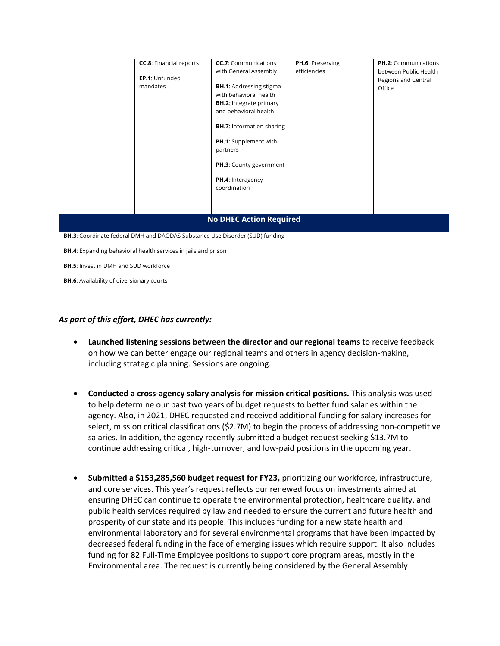|                                                                              | <b>CC.8:</b> Financial reports<br>EP.1: Unfunded<br>mandates | <b>CC.7:</b> Communications<br>with General Assembly<br><b>BH.1: Addressing stigma</b><br>with behavioral health<br><b>BH.2:</b> Integrate primary<br>and behavioral health<br><b>BH.7:</b> Information sharing<br>PH.1: Supplement with<br>partners<br>PH.3: County government<br>PH.4: Interagency<br>coordination | PH.6: Preserving<br>efficiencies | <b>PH.2: Communications</b><br>between Public Health<br>Regions and Central<br>Office |  |  |  |  |
|------------------------------------------------------------------------------|--------------------------------------------------------------|----------------------------------------------------------------------------------------------------------------------------------------------------------------------------------------------------------------------------------------------------------------------------------------------------------------------|----------------------------------|---------------------------------------------------------------------------------------|--|--|--|--|
| <b>No DHEC Action Required</b>                                               |                                                              |                                                                                                                                                                                                                                                                                                                      |                                  |                                                                                       |  |  |  |  |
| BH.3: Coordinate federal DMH and DAODAS Substance Use Disorder (SUD) funding |                                                              |                                                                                                                                                                                                                                                                                                                      |                                  |                                                                                       |  |  |  |  |
| BH.4: Expanding behavioral health services in jails and prison               |                                                              |                                                                                                                                                                                                                                                                                                                      |                                  |                                                                                       |  |  |  |  |
| <b>BH.5:</b> Invest in DMH and SUD workforce                                 |                                                              |                                                                                                                                                                                                                                                                                                                      |                                  |                                                                                       |  |  |  |  |
| <b>BH.6:</b> Availability of diversionary courts                             |                                                              |                                                                                                                                                                                                                                                                                                                      |                                  |                                                                                       |  |  |  |  |

## *As part of this effort, DHEC has currently:*

- **Launched listening sessions between the director and our regional teams** to receive feedback on how we can better engage our regional teams and others in agency decision-making, including strategic planning. Sessions are ongoing.
- **Conducted a cross-agency salary analysis for mission critical positions.** This analysis was used to help determine our past two years of budget requests to better fund salaries within the agency. Also, in 2021, DHEC requested and received additional funding for salary increases for select, mission critical classifications (\$2.7M) to begin the process of addressing non-competitive salaries. In addition, the agency recently submitted a budget request seeking \$13.7M to continue addressing critical, high-turnover, and low-paid positions in the upcoming year.
- **Submitted a \$153,285,560 budget request for FY23,** prioritizing our workforce, infrastructure, and core services. This year's request reflects our renewed focus on investments aimed at ensuring DHEC can continue to operate the environmental protection, healthcare quality, and public health services required by law and needed to ensure the current and future health and prosperity of our state and its people. This includes funding for a new state health and environmental laboratory and for several environmental programs that have been impacted by decreased federal funding in the face of emerging issues which require support. It also includes funding for 82 Full-Time Employee positions to support core program areas, mostly in the Environmental area. The request is currently being considered by the General Assembly.